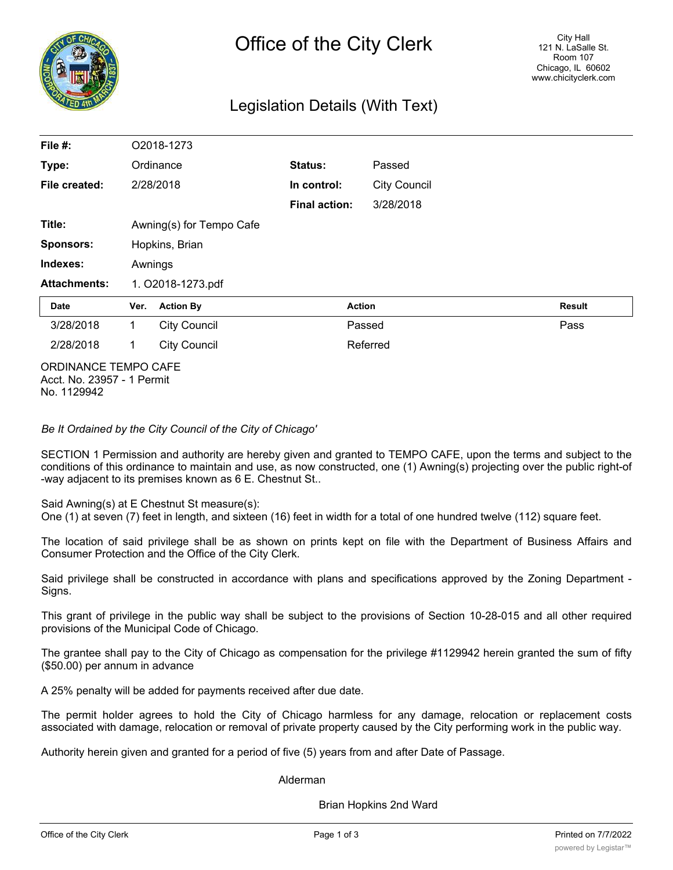

### Legislation Details (With Text)

| File #:              |                           | O2018-1273          |                      |                     |               |
|----------------------|---------------------------|---------------------|----------------------|---------------------|---------------|
| Type:                |                           | Ordinance           | Status:              | Passed              |               |
| File created:        | 2/28/2018                 |                     | In control:          | <b>City Council</b> |               |
|                      |                           |                     | <b>Final action:</b> | 3/28/2018           |               |
| Title:               | Awning(s) for Tempo Cafe  |                     |                      |                     |               |
| <b>Sponsors:</b>     | Hopkins, Brian<br>Awnings |                     |                      |                     |               |
| Indexes:             |                           |                     |                      |                     |               |
| <b>Attachments:</b>  | 1. O2018-1273.pdf         |                     |                      |                     |               |
| Date                 | Ver.                      | <b>Action By</b>    |                      | <b>Action</b>       | <b>Result</b> |
| 3/28/2018            | $\mathbf{1}$              | <b>City Council</b> |                      | Passed              | Pass          |
| 2/28/2018            | 1                         | <b>City Council</b> |                      | Referred            |               |
| ORDINANCE TEMPO CAEE |                           |                     |                      |                     |               |

ORDINANCE TEMPO CAFE Acct. No. 23957 - 1 Permit No. 1129942

*Be It Ordained by the City Council of the City of Chicago'*

SECTION 1 Permission and authority are hereby given and granted to TEMPO CAFE, upon the terms and subject to the conditions of this ordinance to maintain and use, as now constructed, one (1) Awning(s) projecting over the public right-of -way adjacent to its premises known as 6 E. Chestnut St..

Said Awning(s) at E Chestnut St measure(s):

One (1) at seven (7) feet in length, and sixteen (16) feet in width for a total of one hundred twelve (112) square feet.

The location of said privilege shall be as shown on prints kept on file with the Department of Business Affairs and Consumer Protection and the Office of the City Clerk.

Said privilege shall be constructed in accordance with plans and specifications approved by the Zoning Department - Signs.

This grant of privilege in the public way shall be subject to the provisions of Section 10-28-015 and all other required provisions of the Municipal Code of Chicago.

The grantee shall pay to the City of Chicago as compensation for the privilege #1129942 herein granted the sum of fifty (\$50.00) per annum in advance

A 25% penalty will be added for payments received after due date.

The permit holder agrees to hold the City of Chicago harmless for any damage, relocation or replacement costs associated with damage, relocation or removal of private property caused by the City performing work in the public way.

Authority herein given and granted for a period of five (5) years from and after Date of Passage.

Alderman

Brian Hopkins 2nd Ward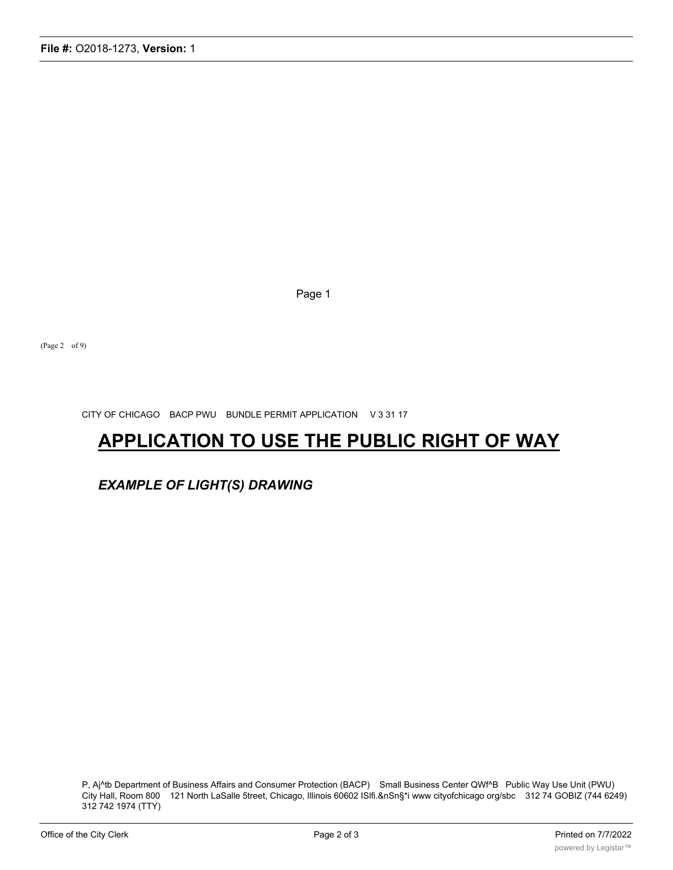P, Aj^tb Department of Business Affairs and Consumer Protection (BACP) Small Business Center QWf^B Public Way Use Unit (PWU) City Hall, Room 800 121 North LaSalle 5treet, Chicago, Illinois 60602 ISlfi.&nSn§\*i www cityofchicago org/sbc 312 74 GOBIZ (744 6249) 312 742 1974 (TTY)

## *EXAMPLE OF LIGHT(S) DRAWING*

# **APPLICATION TO USE THE PUBLIC RIGHT OF WAY**

CITY OF CHICAGO BACP PWU BUNDLE PERMIT APPLICATION V 3 31 17

(Page 2 of 9)

Page 1